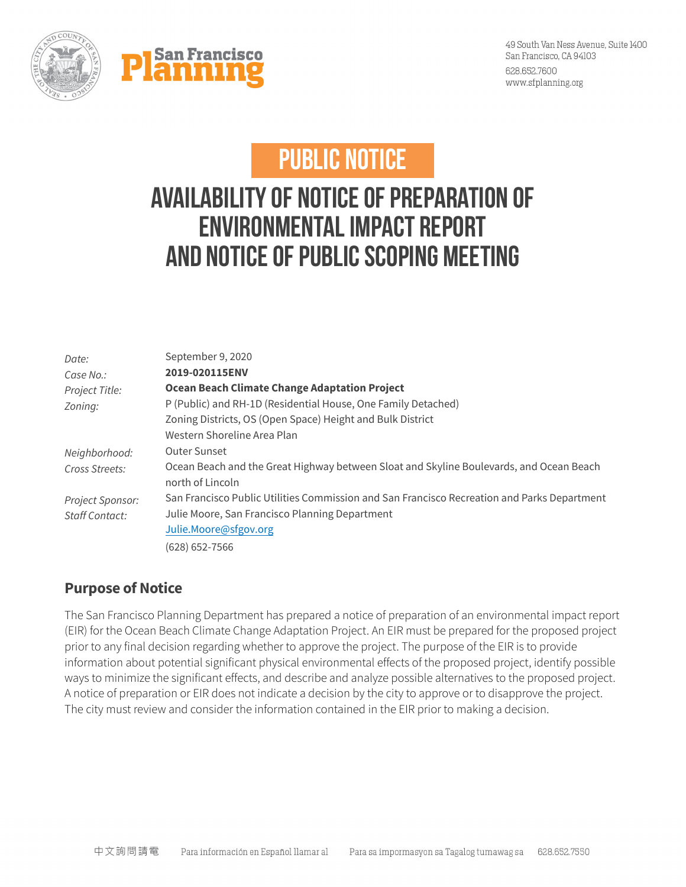

## PUBLIC NOTICE

# Availability of Notice of Preparation of Environmental Impact Report and Notice of Public Scoping Meeting

| Date:                       | September 9, 2020<br>2019-020115ENV                                                                         |
|-----------------------------|-------------------------------------------------------------------------------------------------------------|
| Case No.:<br>Project Title: | <b>Ocean Beach Climate Change Adaptation Project</b>                                                        |
| Zoning:                     | P (Public) and RH-1D (Residential House, One Family Detached)                                               |
|                             | Zoning Districts, OS (Open Space) Height and Bulk District                                                  |
|                             | Western Shoreline Area Plan                                                                                 |
| Neighborhood:               | Outer Sunset                                                                                                |
| Cross Streets:              | Ocean Beach and the Great Highway between Sloat and Skyline Boulevards, and Ocean Beach<br>north of Lincoln |
| Project Sponsor:            | San Francisco Public Utilities Commission and San Francisco Recreation and Parks Department                 |
| Staff Contact:              | Julie Moore, San Francisco Planning Department                                                              |
|                             | Julie.Moore@sfgov.org                                                                                       |
|                             | (628) 652-7566                                                                                              |

#### **Purpose of Notice**

The San Francisco Planning Department has prepared a notice of preparation of an environmental impact report (EIR) for the Ocean Beach Climate Change Adaptation Project. An EIR must be prepared for the proposed project prior to any final decision regarding whether to approve the project. The purpose of the EIR is to provide information about potential significant physical environmental effects of the proposed project, identify possible ways to minimize the significant effects, and describe and analyze possible alternatives to the proposed project. A notice of preparation or EIR does not indicate a decision by the city to approve or to disapprove the project. The city must review and consider the information contained in the EIR prior to making a decision.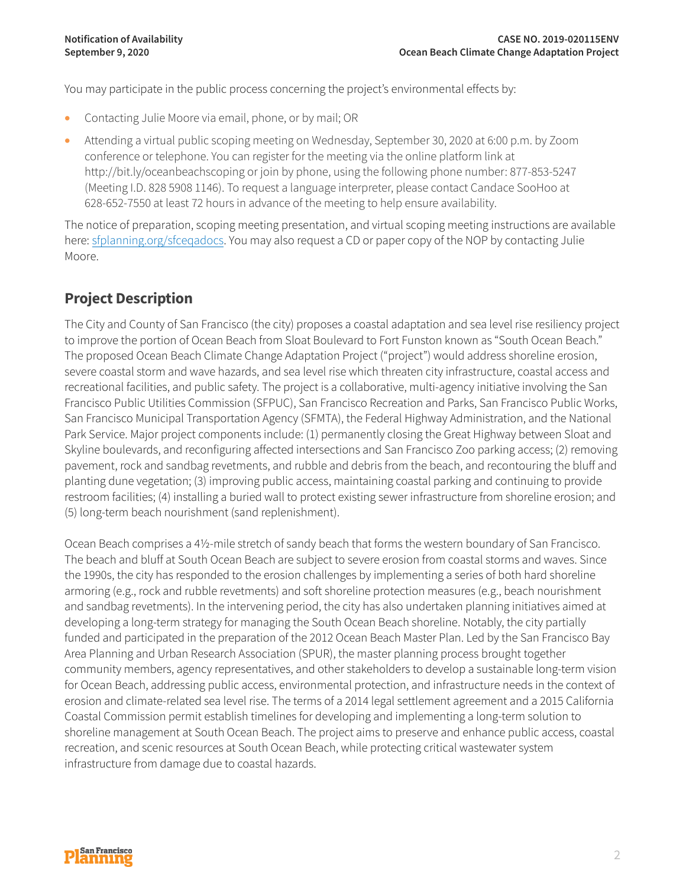You may participate in the public process concerning the project's environmental effects by:

- Contacting Julie Moore via email, phone, or by mail; OR
- Attending a virtual public scoping meeting on Wednesday, September 30, 2020 at 6:00 p.m. by Zoom conference or telephone. You can register for the meeting via the online platform link at http://bit.ly/oceanbeachscoping or join by phone, using the following phone number: 877-853-5247 (Meeting I.D. 828 5908 1146). To request a language interpreter, please contact Candace SooHoo at 628-652-7550 at least 72 hours in advance of the meeting to help ensure availability.

The notice of preparation, scoping meeting presentation, and virtual scoping meeting instructions are available here: sfplanning.org/sfceqadocs. You may also request a CD or paper copy of the NOP by contacting Julie Moore.

### **Project Description**

The City and County of San Francisco (the city) proposes a coastal adaptation and sea level rise resiliency project to improve the portion of Ocean Beach from Sloat Boulevard to Fort Funston known as "South Ocean Beach." The proposed Ocean Beach Climate Change Adaptation Project ("project") would address shoreline erosion, severe coastal storm and wave hazards, and sea level rise which threaten city infrastructure, coastal access and recreational facilities, and public safety. The project is a collaborative, multi-agency initiative involving the San Francisco Public Utilities Commission (SFPUC), San Francisco Recreation and Parks, San Francisco Public Works, San Francisco Municipal Transportation Agency (SFMTA), the Federal Highway Administration, and the National Park Service. Major project components include: (1) permanently closing the Great Highway between Sloat and Skyline boulevards, and reconfiguring affected intersections and San Francisco Zoo parking access; (2) removing pavement, rock and sandbag revetments, and rubble and debris from the beach, and recontouring the bluff and planting dune vegetation; (3) improving public access, maintaining coastal parking and continuing to provide restroom facilities; (4) installing a buried wall to protect existing sewer infrastructure from shoreline erosion; and (5) long-term beach nourishment (sand replenishment).

Ocean Beach comprises a 4½-mile stretch of sandy beach that forms the western boundary of San Francisco. The beach and bluff at South Ocean Beach are subject to severe erosion from coastal storms and waves. Since the 1990s, the city has responded to the erosion challenges by implementing a series of both hard shoreline armoring (e.g., rock and rubble revetments) and soft shoreline protection measures (e.g., beach nourishment and sandbag revetments). In the intervening period, the city has also undertaken planning initiatives aimed at developing a long-term strategy for managing the South Ocean Beach shoreline. Notably, the city partially funded and participated in the preparation of the 2012 Ocean Beach Master Plan. Led by the San Francisco Bay Area Planning and Urban Research Association (SPUR), the master planning process brought together community members, agency representatives, and other stakeholders to develop a sustainable long-term vision for Ocean Beach, addressing public access, environmental protection, and infrastructure needs in the context of erosion and climate-related sea level rise. The terms of a 2014 legal settlement agreement and a 2015 California Coastal Commission permit establish timelines for developing and implementing a long-term solution to shoreline management at South Ocean Beach. The project aims to preserve and enhance public access, coastal recreation, and scenic resources at South Ocean Beach, while protecting critical wastewater system infrastructure from damage due to coastal hazards.